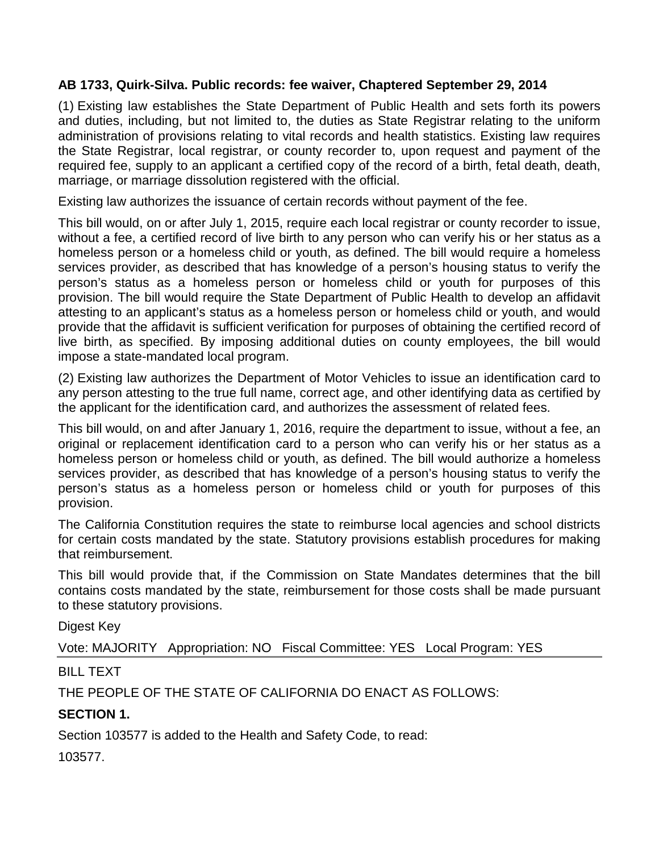#### **AB 1733, Quirk-Silva. Public records: fee waiver, Chaptered September 29, 2014**

(1) Existing law establishes the State Department of Public Health and sets forth its powers and duties, including, but not limited to, the duties as State Registrar relating to the uniform administration of provisions relating to vital records and health statistics. Existing law requires the State Registrar, local registrar, or county recorder to, upon request and payment of the required fee, supply to an applicant a certified copy of the record of a birth, fetal death, death, marriage, or marriage dissolution registered with the official.

Existing law authorizes the issuance of certain records without payment of the fee.

This bill would, on or after July 1, 2015, require each local registrar or county recorder to issue, without a fee, a certified record of live birth to any person who can verify his or her status as a homeless person or a homeless child or youth, as defined. The bill would require a homeless services provider, as described that has knowledge of a person's housing status to verify the person's status as a homeless person or homeless child or youth for purposes of this provision. The bill would require the State Department of Public Health to develop an affidavit attesting to an applicant's status as a homeless person or homeless child or youth, and would provide that the affidavit is sufficient verification for purposes of obtaining the certified record of live birth, as specified. By imposing additional duties on county employees, the bill would impose a state-mandated local program.

(2) Existing law authorizes the Department of Motor Vehicles to issue an identification card to any person attesting to the true full name, correct age, and other identifying data as certified by the applicant for the identification card, and authorizes the assessment of related fees.

This bill would, on and after January 1, 2016, require the department to issue, without a fee, an original or replacement identification card to a person who can verify his or her status as a homeless person or homeless child or youth, as defined. The bill would authorize a homeless services provider, as described that has knowledge of a person's housing status to verify the person's status as a homeless person or homeless child or youth for purposes of this provision.

The California Constitution requires the state to reimburse local agencies and school districts for certain costs mandated by the state. Statutory provisions establish procedures for making that reimbursement.

This bill would provide that, if the Commission on State Mandates determines that the bill contains costs mandated by the state, reimbursement for those costs shall be made pursuant to these statutory provisions.

Digest Key

Vote: MAJORITY Appropriation: NO Fiscal Committee: YES Local Program: YES

# BILL TEXT

THE PEOPLE OF THE STATE OF CALIFORNIA DO ENACT AS FOLLOWS:

# **SECTION 1.**

Section 103577 is added to the Health and Safety Code, to read:

103577.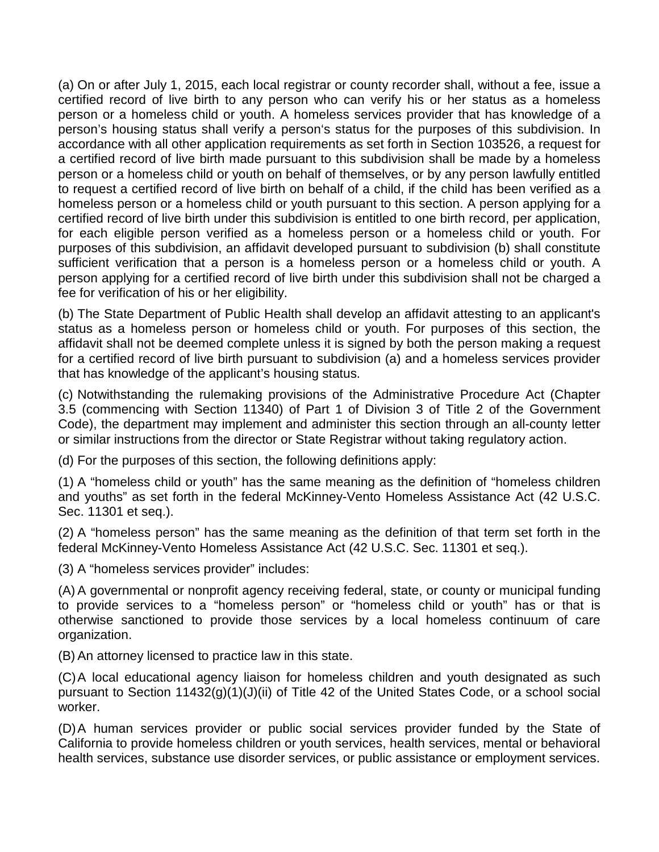(a) On or after July 1, 2015, each local registrar or county recorder shall, without a fee, issue a certified record of live birth to any person who can verify his or her status as a homeless person or a homeless child or youth. A homeless services provider that has knowledge of a person's housing status shall verify a person's status for the purposes of this subdivision. In accordance with all other application requirements as set forth in Section 103526, a request for a certified record of live birth made pursuant to this subdivision shall be made by a homeless person or a homeless child or youth on behalf of themselves, or by any person lawfully entitled to request a certified record of live birth on behalf of a child, if the child has been verified as a homeless person or a homeless child or youth pursuant to this section. A person applying for a certified record of live birth under this subdivision is entitled to one birth record, per application, for each eligible person verified as a homeless person or a homeless child or youth. For purposes of this subdivision, an affidavit developed pursuant to subdivision (b) shall constitute sufficient verification that a person is a homeless person or a homeless child or youth. A person applying for a certified record of live birth under this subdivision shall not be charged a fee for verification of his or her eligibility.

(b) The State Department of Public Health shall develop an affidavit attesting to an applicant's status as a homeless person or homeless child or youth. For purposes of this section, the affidavit shall not be deemed complete unless it is signed by both the person making a request for a certified record of live birth pursuant to subdivision (a) and a homeless services provider that has knowledge of the applicant's housing status.

(c) Notwithstanding the rulemaking provisions of the Administrative Procedure Act (Chapter 3.5 (commencing with Section 11340) of Part 1 of Division 3 of Title 2 of the Government Code), the department may implement and administer this section through an all-county letter or similar instructions from the director or State Registrar without taking regulatory action.

(d) For the purposes of this section, the following definitions apply:

(1) A "homeless child or youth" has the same meaning as the definition of "homeless children and youths" as set forth in the federal McKinney-Vento Homeless Assistance Act (42 U.S.C. Sec. 11301 et seq.).

(2) A "homeless person" has the same meaning as the definition of that term set forth in the federal McKinney-Vento Homeless Assistance Act (42 U.S.C. Sec. 11301 et seq.).

(3) A "homeless services provider" includes:

(A) A governmental or nonprofit agency receiving federal, state, or county or municipal funding to provide services to a "homeless person" or "homeless child or youth" has or that is otherwise sanctioned to provide those services by a local homeless continuum of care organization.

(B) An attorney licensed to practice law in this state.

(C)A local educational agency liaison for homeless children and youth designated as such pursuant to Section 11432(g)(1)(J)(ii) of Title 42 of the United States Code, or a school social worker.

(D)A human services provider or public social services provider funded by the State of California to provide homeless children or youth services, health services, mental or behavioral health services, substance use disorder services, or public assistance or employment services.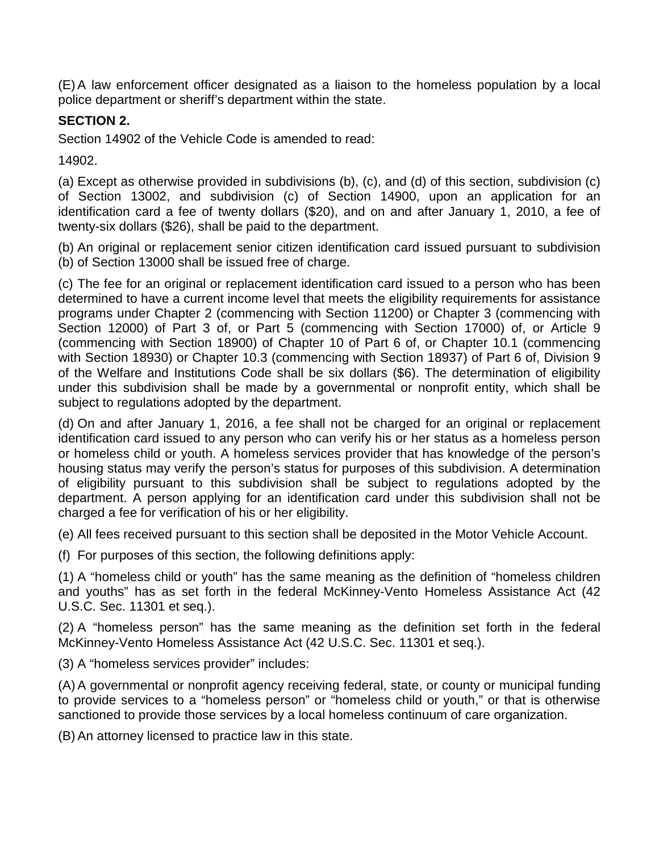(E) A law enforcement officer designated as a liaison to the homeless population by a local police department or sheriff's department within the state.

### **SECTION 2.**

Section 14902 of the Vehicle Code is amended to read:

14902.

(a) Except as otherwise provided in subdivisions (b), (c), and (d) of this section, subdivision (c) of Section 13002, and subdivision (c) of Section 14900, upon an application for an identification card a fee of twenty dollars (\$20), and on and after January 1, 2010, a fee of twenty-six dollars (\$26), shall be paid to the department.

(b) An original or replacement senior citizen identification card issued pursuant to subdivision (b) of Section 13000 shall be issued free of charge.

(c) The fee for an original or replacement identification card issued to a person who has been determined to have a current income level that meets the eligibility requirements for assistance programs under Chapter 2 (commencing with Section 11200) or Chapter 3 (commencing with Section 12000) of Part 3 of, or Part 5 (commencing with Section 17000) of, or Article 9 (commencing with Section 18900) of Chapter 10 of Part 6 of, or Chapter 10.1 (commencing with Section 18930) or Chapter 10.3 (commencing with Section 18937) of Part 6 of, Division 9 of the Welfare and Institutions Code shall be six dollars (\$6). The determination of eligibility under this subdivision shall be made by a governmental or nonprofit entity, which shall be subject to regulations adopted by the department.

(d) On and after January 1, 2016, a fee shall not be charged for an original or replacement identification card issued to any person who can verify his or her status as a homeless person or homeless child or youth. A homeless services provider that has knowledge of the person's housing status may verify the person's status for purposes of this subdivision. A determination of eligibility pursuant to this subdivision shall be subject to regulations adopted by the department. A person applying for an identification card under this subdivision shall not be charged a fee for verification of his or her eligibility.

(e) All fees received pursuant to this section shall be deposited in the Motor Vehicle Account.

(f) For purposes of this section, the following definitions apply:

(1) A "homeless child or youth" has the same meaning as the definition of "homeless children and youths" has as set forth in the federal McKinney-Vento Homeless Assistance Act (42 U.S.C. Sec. 11301 et seq.).

(2) A "homeless person" has the same meaning as the definition set forth in the federal McKinney-Vento Homeless Assistance Act (42 U.S.C. Sec. 11301 et seq.).

(3) A "homeless services provider" includes:

(A) A governmental or nonprofit agency receiving federal, state, or county or municipal funding to provide services to a "homeless person" or "homeless child or youth," or that is otherwise sanctioned to provide those services by a local homeless continuum of care organization.

(B) An attorney licensed to practice law in this state.